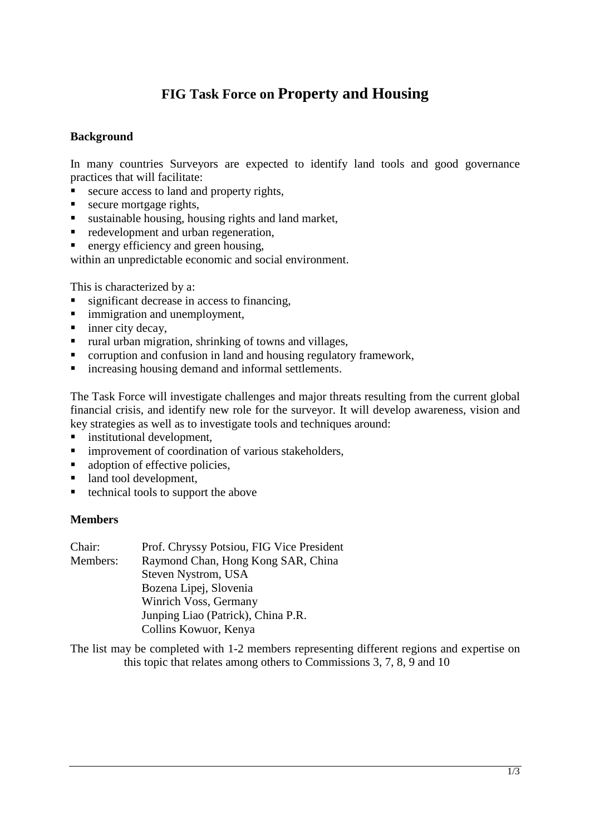# **FIG Task Force on Property and Housing**

### **Background**

In many countries Surveyors are expected to identify land tools and good governance practices that will facilitate:

- secure access to land and property rights,
- secure mortgage rights,
- sustainable housing, housing rights and land market,
- redevelopment and urban regeneration,
- $\blacksquare$  energy efficiency and green housing,

within an unpredictable economic and social environment.

This is characterized by a:

- significant decrease in access to financing,
- **F** immigration and unemployment,
- $\blacksquare$  inner city decay,
- $\blacksquare$  rural urban migration, shrinking of towns and villages,
- corruption and confusion in land and housing regulatory framework,
- $\blacksquare$  increasing housing demand and informal settlements.

The Task Force will investigate challenges and major threats resulting from the current global financial crisis, and identify new role for the surveyor. It will develop awareness, vision and key strategies as well as to investigate tools and techniques around:

- institutional development,
- **F** improvement of coordination of various stakeholders,
- adoption of effective policies.
- land tool development,
- $\blacksquare$  technical tools to support the above

#### **Members**

| Chair:   | Prof. Chryssy Potsiou, FIG Vice President |
|----------|-------------------------------------------|
| Members: | Raymond Chan, Hong Kong SAR, China        |
|          | Steven Nystrom, USA                       |
|          | Bozena Lipej, Slovenia                    |
|          | Winrich Voss, Germany                     |
|          | Junping Liao (Patrick), China P.R.        |
|          | Collins Kowuor, Kenya                     |
|          |                                           |

The list may be completed with 1-2 members representing different regions and expertise on this topic that relates among others to Commissions 3, 7, 8, 9 and 10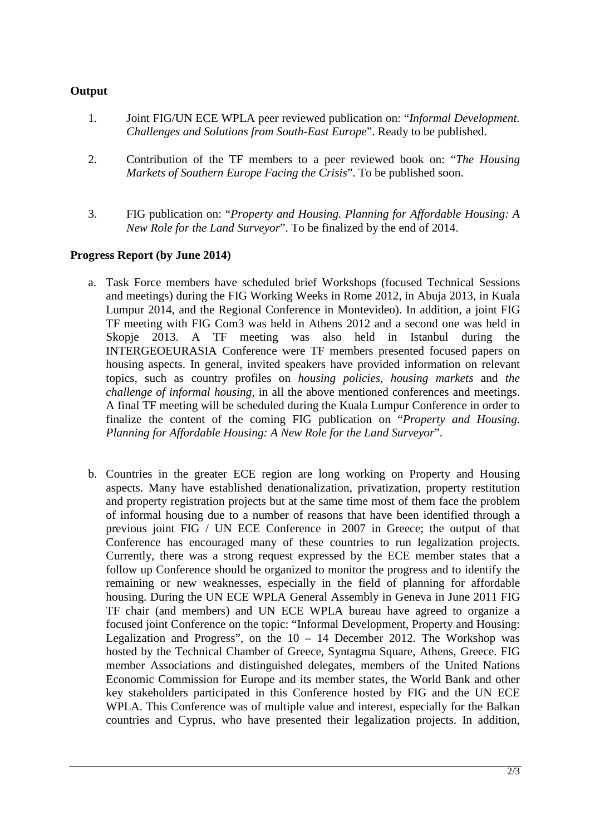## **Output**

- 1. Joint FIG/UN ECE WPLA peer reviewed publication on: "*Informal Development. Challenges and Solutions from South-East Europe*". Ready to be published.
- 2. Contribution of the TF members to a peer reviewed book on: "*The Housing Markets of Southern Europe Facing the Crisis*". To be published soon.
- 3. FIG publication on: "*Property and Housing. Planning for Affordable Housing: A New Role for the Land Surveyor*". To be finalized by the end of 2014.

## **Progress Report (by June 2014)**

- a. Task Force members have scheduled brief Workshops (focused Technical Sessions and meetings) during the FIG Working Weeks in Rome 2012, in Abuja 2013, in Kuala Lumpur 2014, and the Regional Conference in Montevideo). In addition, a joint FIG TF meeting with FIG Com3 was held in Athens 2012 and a second one was held in Skopje 2013. A TF meeting was also held in Istanbul during the INTERGEOEURASIA Conference were TF members presented focused papers on housing aspects. In general, invited speakers have provided information on relevant topics, such as country profiles on *housing policies*, *housing markets* and *the challenge of informal housing*, in all the above mentioned conferences and meetings. A final TF meeting will be scheduled during the Kuala Lumpur Conference in order to finalize the content of the coming FIG publication on "*Property and Housing. Planning for Affordable Housing: A New Role for the Land Surveyor*".
- b. Countries in the greater ECE region are long working on Property and Housing aspects. Many have established denationalization, privatization, property restitution and property registration projects but at the same time most of them face the problem of informal housing due to a number of reasons that have been identified through a previous joint FIG / UN ECE Conference in 2007 in Greece; the output of that Conference has encouraged many of these countries to run legalization projects. Currently, there was a strong request expressed by the ECE member states that a follow up Conference should be organized to monitor the progress and to identify the remaining or new weaknesses, especially in the field of planning for affordable housing. During the UN ECE WPLA General Assembly in Geneva in June 2011 FIG TF chair (and members) and UN ECE WPLA bureau have agreed to organize a focused joint Conference on the topic: "Informal Development, Property and Housing: Legalization and Progress", on the  $10 - 14$  December 2012. The Workshop was hosted by the Technical Chamber of Greece, Syntagma Square, Athens, Greece. FIG member Associations and distinguished delegates, members of the United Nations Economic Commission for Europe and its member states, the World Bank and other key stakeholders participated in this Conference hosted by FIG and the UN ECE WPLA. This Conference was of multiple value and interest, especially for the Balkan countries and Cyprus, who have presented their legalization projects. In addition,